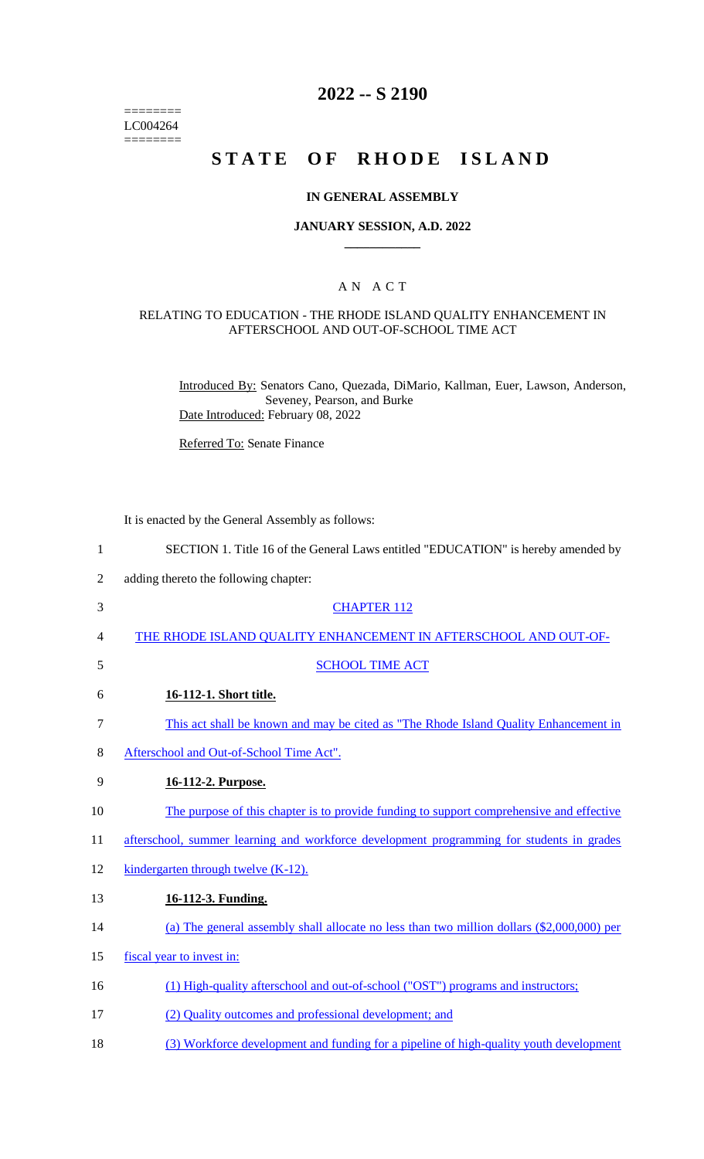$=$ LC004264  $=$ 

# **2022 -- S 2190**

# **STATE OF RHODE ISLAND**

#### **IN GENERAL ASSEMBLY**

#### **JANUARY SESSION, A.D. 2022 \_\_\_\_\_\_\_\_\_\_\_\_**

### A N A C T

#### RELATING TO EDUCATION - THE RHODE ISLAND QUALITY ENHANCEMENT IN AFTERSCHOOL AND OUT-OF-SCHOOL TIME ACT

Introduced By: Senators Cano, Quezada, DiMario, Kallman, Euer, Lawson, Anderson, Seveney, Pearson, and Burke Date Introduced: February 08, 2022

Referred To: Senate Finance

It is enacted by the General Assembly as follows:

| $\mathbf{1}$   | SECTION 1. Title 16 of the General Laws entitled "EDUCATION" is hereby amended by          |
|----------------|--------------------------------------------------------------------------------------------|
| $\overline{2}$ | adding thereto the following chapter:                                                      |
| 3              | <b>CHAPTER 112</b>                                                                         |
| 4              | THE RHODE ISLAND QUALITY ENHANCEMENT IN AFTERSCHOOL AND OUT-OF-                            |
| 5              | <b>SCHOOL TIME ACT</b>                                                                     |
| 6              | 16-112-1. Short title.                                                                     |
| $\tau$         | This act shall be known and may be cited as "The Rhode Island Quality Enhancement in       |
| 8              | Afterschool and Out-of-School Time Act".                                                   |
| 9              | 16-112-2. Purpose.                                                                         |
| 10             | The purpose of this chapter is to provide funding to support comprehensive and effective   |
| 11             | afterschool, summer learning and workforce development programming for students in grades  |
| 12             | kindergarten through twelve (K-12).                                                        |
| 13             | 16-112-3. Funding.                                                                         |
| 14             | (a) The general assembly shall allocate no less than two million dollars (\$2,000,000) per |
| 15             | fiscal year to invest in:                                                                  |
| 16             | (1) High-quality afterschool and out-of-school ("OST") programs and instructors;           |
| 17             | (2) Quality outcomes and professional development; and                                     |
| 18             | (3) Workforce development and funding for a pipeline of high-quality youth development     |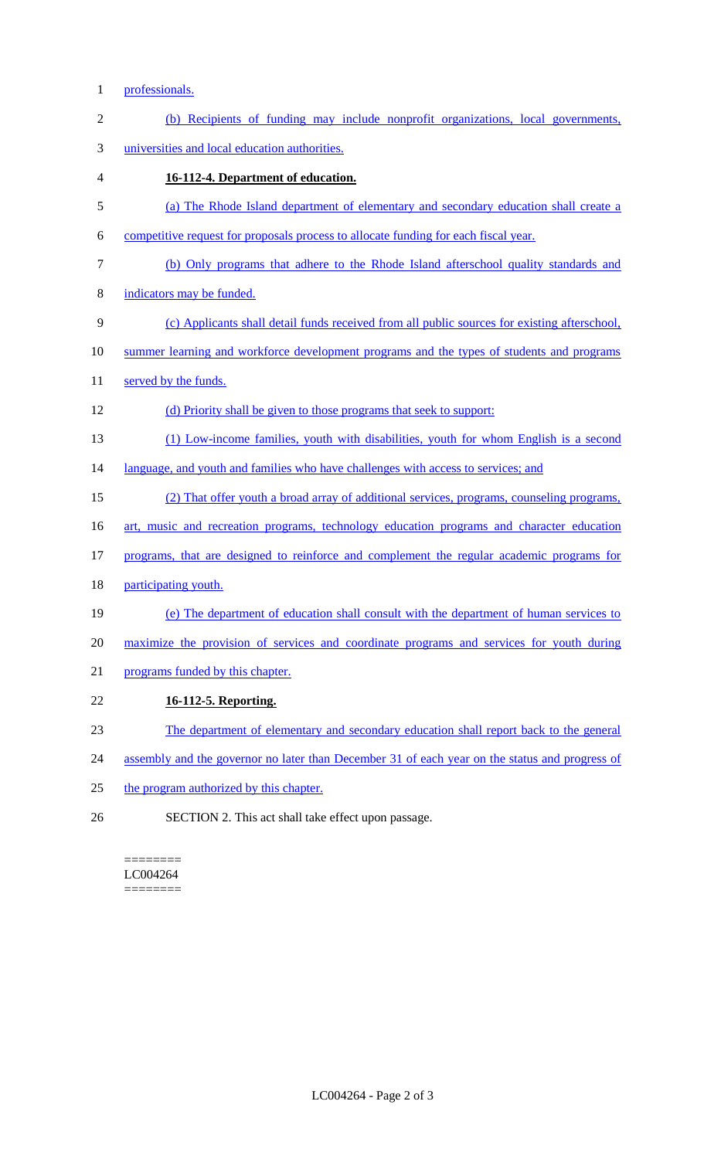1 professionals.

| $\mathfrak{2}$ | (b) Recipients of funding may include nonprofit organizations, local governments,              |
|----------------|------------------------------------------------------------------------------------------------|
| 3              | universities and local education authorities.                                                  |
| 4              | 16-112-4. Department of education.                                                             |
| 5              | (a) The Rhode Island department of elementary and secondary education shall create a           |
| 6              | competitive request for proposals process to allocate funding for each fiscal year.            |
| $\tau$         | (b) Only programs that adhere to the Rhode Island afterschool quality standards and            |
| 8              | indicators may be funded.                                                                      |
| 9              | (c) Applicants shall detail funds received from all public sources for existing afterschool,   |
| 10             | summer learning and workforce development programs and the types of students and programs      |
| 11             | served by the funds.                                                                           |
| 12             | (d) Priority shall be given to those programs that seek to support:                            |
| 13             | (1) Low-income families, youth with disabilities, youth for whom English is a second           |
| 14             | language, and youth and families who have challenges with access to services; and              |
| 15             | (2) That offer youth a broad array of additional services, programs, counseling programs,      |
| 16             | art, music and recreation programs, technology education programs and character education      |
| 17             | programs, that are designed to reinforce and complement the regular academic programs for      |
| 18             | participating youth.                                                                           |
| 19             | (e) The department of education shall consult with the department of human services to         |
| 20             | maximize the provision of services and coordinate programs and services for youth during       |
| 21             | programs funded by this chapter.                                                               |
| 22             | 16-112-5. Reporting.                                                                           |
| 23             | The department of elementary and secondary education shall report back to the general          |
| 24             | assembly and the governor no later than December 31 of each year on the status and progress of |
| 25             | the program authorized by this chapter.                                                        |
|                |                                                                                                |

26 SECTION 2. This act shall take effect upon passage.

======== LC004264 ========